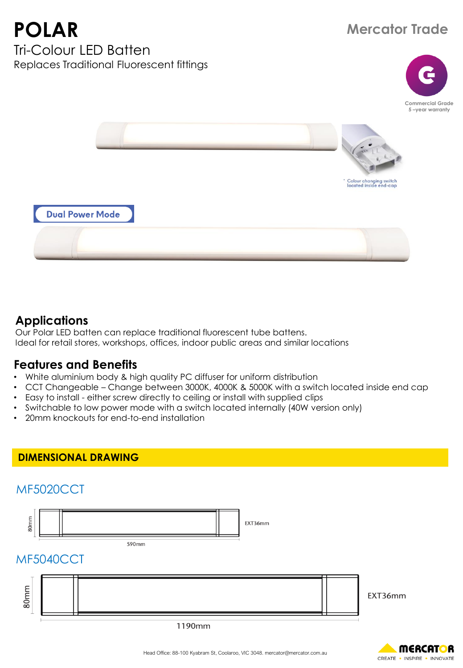# **Mercator Trade**

**POLAR** Tri-Colour LED Batten Replaces Traditional Fluorescent fittings





## **Applications**

Our Polar LED batten can replace traditional fluorescent tube battens. Ideal for retail stores, workshops, offices, indoor public areas and similar locations

#### **Features and Benefits**

- White aluminium body & high quality PC diffuser for uniform distribution
- CCT Changeable Change between 3000K, 4000K & 5000K with a switch located inside end cap
- Easy to install either screw directly to ceiling or install with supplied clips
- Switchable to low power mode with a switch located internally (40W version only)
- 20mm knockouts for end-to-end installation

#### **DIMENSIONAL DRAWING**

## MF5020CCT



590mm

## MF5040CCT